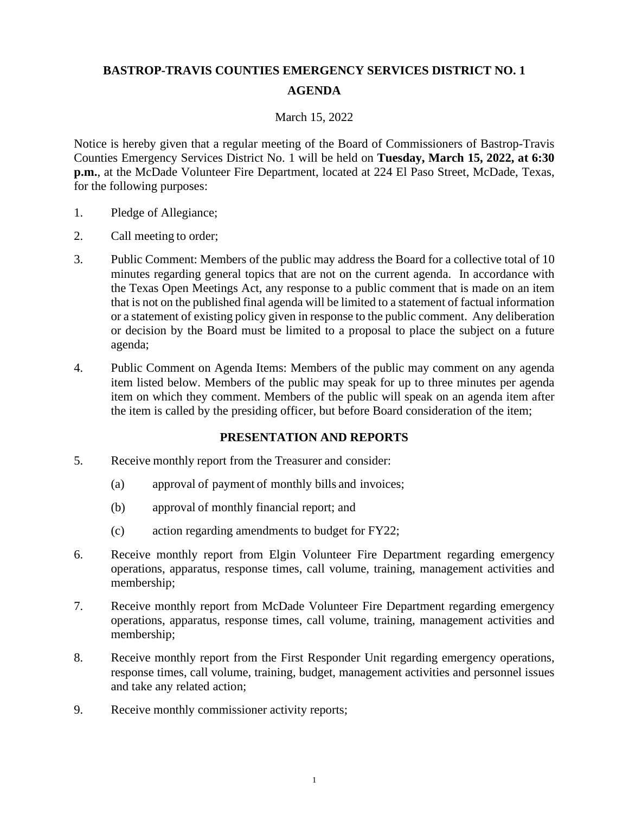# **BASTROP-TRAVIS COUNTIES EMERGENCY SERVICES DISTRICT NO. 1 AGENDA**

#### March 15, 2022

Notice is hereby given that a regular meeting of the Board of Commissioners of Bastrop-Travis Counties Emergency Services District No. 1 will be held on **Tuesday, March 15, 2022, at 6:30 p.m.**, at the McDade Volunteer Fire Department, located at 224 El Paso Street, McDade, Texas, for the following purposes:

- 1. Pledge of Allegiance;
- 2. Call meeting to order;
- 3. Public Comment: Members of the public may address the Board for a collective total of 10 minutes regarding general topics that are not on the current agenda. In accordance with the Texas Open Meetings Act, any response to a public comment that is made on an item that is not on the published final agenda will be limited to a statement of factual information or a statement of existing policy given in response to the public comment. Any deliberation or decision by the Board must be limited to a proposal to place the subject on a future agenda;
- 4. Public Comment on Agenda Items: Members of the public may comment on any agenda item listed below. Members of the public may speak for up to three minutes per agenda item on which they comment. Members of the public will speak on an agenda item after the item is called by the presiding officer, but before Board consideration of the item;

#### **PRESENTATION AND REPORTS**

- 5. Receive monthly report from the Treasurer and consider:
	- (a) approval of payment of monthly bills and invoices;
	- (b) approval of monthly financial report; and
	- (c) action regarding amendments to budget for FY22;
- 6. Receive monthly report from Elgin Volunteer Fire Department regarding emergency operations, apparatus, response times, call volume, training, management activities and membership;
- 7. Receive monthly report from McDade Volunteer Fire Department regarding emergency operations, apparatus, response times, call volume, training, management activities and membership;
- 8. Receive monthly report from the First Responder Unit regarding emergency operations, response times, call volume, training, budget, management activities and personnel issues and take any related action;
- 9. Receive monthly commissioner activity reports;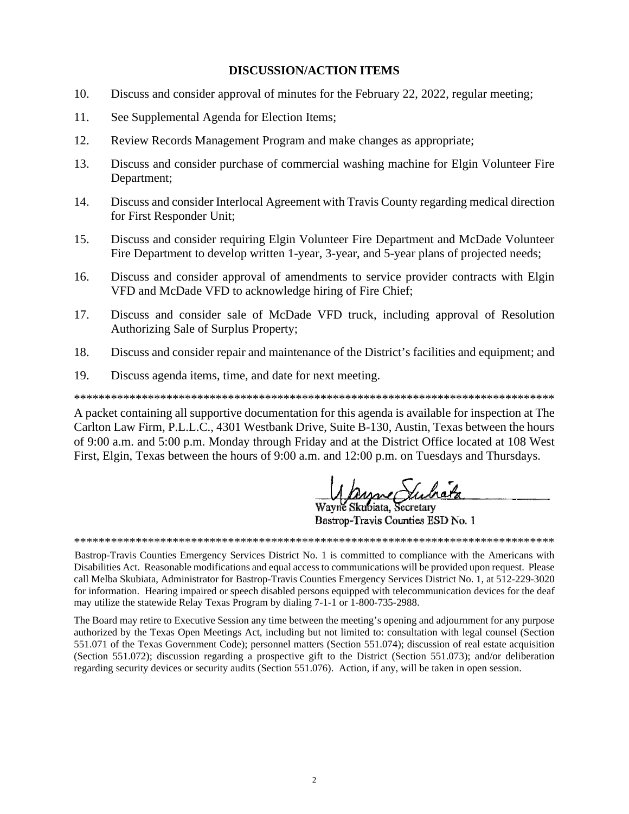#### **DISCUSSION/ACTION ITEMS**

- 10. Discuss and consider approval of minutes for the February 22, 2022, regular meeting;
- 11. See Supplemental Agenda for Election Items;
- 12. Review Records Management Program and make changes as appropriate;
- 13. Discuss and consider purchase of commercial washing machine for Elgin Volunteer Fire Department;
- 14. Discuss and consider Interlocal Agreement with Travis County regarding medical direction for First Responder Unit;
- $15.$ Discuss and consider requiring Elgin Volunteer Fire Department and McDade Volunteer Fire Department to develop written 1-year, 3-year, and 5-year plans of projected needs;
- 16. Discuss and consider approval of amendments to service provider contracts with Elgin VFD and McDade VFD to acknowledge hiring of Fire Chief;
- 17. Discuss and consider sale of McDade VFD truck, including approval of Resolution Authorizing Sale of Surplus Property;
- 18. Discuss and consider repair and maintenance of the District's facilities and equipment; and
- $19<sub>1</sub>$ Discuss agenda items, time, and date for next meeting.

A packet containing all supportive documentation for this agenda is available for inspection at The Carlton Law Firm, P.L.L.C., 4301 Westbank Drive, Suite B-130, Austin, Texas between the hours of 9:00 a.m. and 5:00 p.m. Monday through Friday and at the District Office located at 108 West First, Elgin, Texas between the hours of 9:00 a.m. and 12:00 p.m. on Tuesdays and Thursdays.

Mayne *Stubiata*<br>Wayne Skubiata, Secretary

Bastrop-Travis Counties ESD No. 1

Bastrop-Travis Counties Emergency Services District No. 1 is committed to compliance with the Americans with Disabilities Act. Reasonable modifications and equal access to communications will be provided upon request. Please call Melba Skubiata, Administrator for Bastrop-Travis Counties Emergency Services District No. 1, at 512-229-3020 for information. Hearing impaired or speech disabled persons equipped with telecommunication devices for the deaf may utilize the statewide Relay Texas Program by dialing 7-1-1 or 1-800-735-2988.

The Board may retire to Executive Session any time between the meeting's opening and adjournment for any purpose authorized by the Texas Open Meetings Act, including but not limited to: consultation with legal counsel (Section 551.071 of the Texas Government Code); personnel matters (Section 551.074); discussion of real estate acquisition (Section 551.072); discussion regarding a prospective gift to the District (Section 551.073); and/or deliberation regarding security devices or security audits (Section 551.076). Action, if any, will be taken in open session.